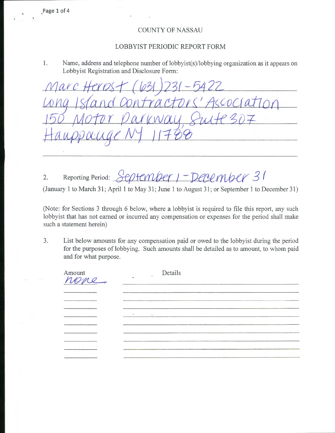COUNTY OF NASSAU

## LOBBYIST PERIODIC REPORT FORM

1. Name, address and telephone number of lobbyist(s)/lobbying organization as it appears on Lobbyist Registration and Disclosure Form:

 $\mathcal{D}\mathcal{C}$  $\alpha$ 

2. Reporting Period: September 1 - December 31 (January 1 to March 31; April 1 to May 31; June 1 to August 31; or September 1 to December 31)

(Note: for Sections 3 through 6 below, where a lobbyist is required to file this report, any such lobbyist that has not earned or incurred any compensation or expenses for the period shall make such a statement herein)

3. List below amounts for any compensation paid or owed to the lobbyist during the period for the purposes of lobbying. Such amounts shall be detailed as to amount, to whom paid and for what purpose.

| Amount<br>none, | Details            |  |
|-----------------|--------------------|--|
|                 |                    |  |
|                 |                    |  |
|                 |                    |  |
|                 | $\Delta$<br>$\sim$ |  |
|                 |                    |  |
|                 |                    |  |
|                 |                    |  |
|                 |                    |  |
|                 |                    |  |

\_Page 1 of 4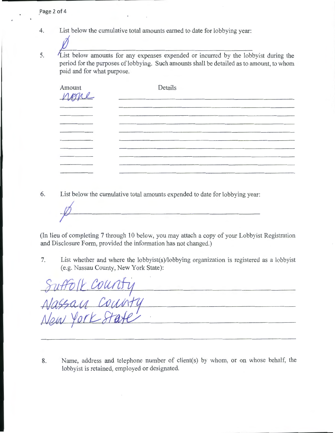- List below the cumulative total amounts earned to date for lobbying year: 4.
- List below amounts for any expenses expended or incurred by the lobbyist during the 5. period for the purposes of lobbying. Such amounts shall be detailed as to amount, to whom paid and for what purpose.

| Amount<br>none | Details<br><u> 1980 - Maria Amerikaanse konstantinopolis</u> |
|----------------|--------------------------------------------------------------|
|                |                                                              |
|                |                                                              |
|                |                                                              |
|                |                                                              |
|                |                                                              |
|                |                                                              |
|                |                                                              |
|                |                                                              |
|                |                                                              |

6. List below the cumulative total amounts expended to date for lobbying year:

(In lieu of completing 7 through 10 below, you may attach a copy of your Lobbyist Registration and Disclosure Form, provided the information has not changed.)

7. List whether and where the lobbyist(s)/lobbying organization is registered as a lobbyist

(e.g. Nassau County, New York State):<br>Suffo (L COUNTY<br>Nassau County<br>New York State 

8. Name, address and telephone number of client(s) by whom, or on whose behalf, the lobbyist is retained, employed or designated.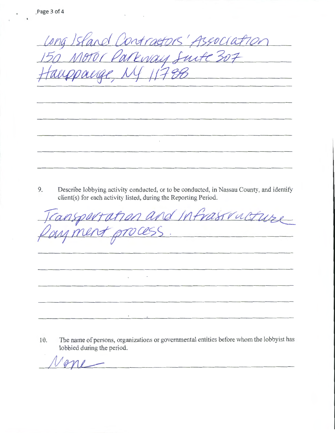Island Contractors' Association  $11788$ <u> 1980 - Jan Barnett, mars ann an t-Amhair an t-Amhair an t-Amhair an t-Amhair an t-Amhair an t-Amhair an t-Amhair an t-Amhair an t-Amhair an t-Amhair an t-Amhair an t-Amhair an t-Amhair an t-Amhair an t-Amhair an t-Amhair</u>  $\mathcal{L}_{\mathcal{A}}$ 

9. Describe lobbying activity conducted, or to be conducted, in Nassau County, and identify client(s) for each activity listed, during the Reporting Period.

ansportation and Infrastructure

10. The name of persons, organizations or governmental entities before whom the lobbyist has lobbied during the period.